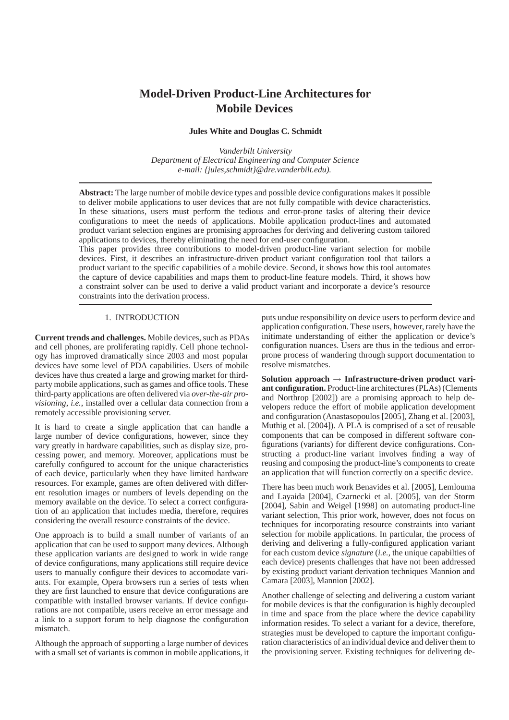# **Model-Driven Product-Line Architectures for Mobile Devices**

# **Jules White and Douglas C. Schmidt**

*Vanderbilt University Department of Electrical Engineering and Computer Science e-mail: {jules,schmidt}@dre.vanderbilt.edu).*

**Abstract:** The large number of mobile device types and possible device configurations makes it possible to deliver mobile applications to user devices that are not fully compatible with device characteristics. In these situations, users must perform the tedious and error-prone tasks of altering their device configurations to meet the needs of applications. Mobile application product-lines and automated product variant selection engines are promising approaches for deriving and delivering custom tailored applications to devices, thereby eliminating the need for end-user configuration.

This paper provides three contributions to model-driven product-line variant selection for mobile devices. First, it describes an infrastructure-driven product variant configuration tool that tailors a product variant to the specific capabilities of a mobile device. Second, it shows how this tool automates the capture of device capabilities and maps them to product-line feature models. Third, it shows how a constraint solver can be used to derive a valid product variant and incorporate a device's resource constraints into the derivation process.

# 1. INTRODUCTION

**Current trends and challenges.** Mobile devices, such as PDAs and cell phones, are proliferating rapidly. Cell phone technology has improved dramatically since 2003 and most popular devices have some level of PDA capabilities. Users of mobile devices have thus created a large and growing market for thirdparty mobile applications, such as games and office tools. These third-party applications are often delivered via *over-the-air provisioning*, *i.e.*, installed over a cellular data connection from a remotely accessible provisioning server.

It is hard to create a single application that can handle a large number of device configurations, however, since they vary greatly in hardware capabilities, such as display size, processing power, and memory. Moreover, applications must be carefully configured to account for the unique characteristics of each device, particularly when they have limited hardware resources. For example, games are often delivered with different resolution images or numbers of levels depending on the memory available on the device. To select a correct configuration of an application that includes media, therefore, requires considering the overall resource constraints of the device.

One approach is to build a small number of variants of an application that can be used to support many devices. Although these application variants are designed to work in wide range of device configurations, many applications still require device users to manually configure their devices to accomodate variants. For example, Opera browsers run a series of tests when they are first launched to ensure that device configurations are compatible with installed browser variants. If device configurations are not compatible, users receive an error message and a link to a support forum to help diagnose the configuration mismatch.

Although the approach of supporting a large number of devices with a small set of variants is common in mobile applications, it puts undue responsibility on device users to perform device and application configuration. These users, however, rarely have the initimate understanding of either the application or device's configuration nuances. Users are thus in the tedious and errorprone process of wandering through support documentation to resolve mismatches.

**Solution approach** → **Infrastructure-driven product variant configuration.** Product-line architectures (PLAs) (Clements and Northrop [2002]) are a promising approach to help developers reduce the effort of mobile application development and configuration (Anastasopoulos [2005], Zhang et al. [2003], Muthig et al. [2004]). A PLA is comprised of a set of reusable components that can be composed in different software configurations (variants) for different device configurations. Constructing a product-line variant involves finding a way of reusing and composing the product-line's components to create an application that will function correctly on a specific device.

There has been much work Benavides et al. [2005], Lemlouma and Layaida [2004], Czarnecki et al. [2005], van der Storm [2004], Sabin and Weigel [1998] on automating product-line variant selection, This prior work, however, does not focus on techniques for incorporating resource constraints into variant selection for mobile applications. In particular, the process of deriving and delivering a fully-configured application variant for each custom device *signature* (*i.e.*, the unique capabilties of each device) presents challenges that have not been addressed by existing product variant derivation techniques Mannion and Camara [2003], Mannion [2002].

Another challenge of selecting and delivering a custom variant for mobile devices is that the configuration is highly decoupled in time and space from the place where the device capability information resides. To select a variant for a device, therefore, strategies must be developed to capture the important configuration characteristics of an individual device and deliver them to the provisioning server. Existing techniques for delivering de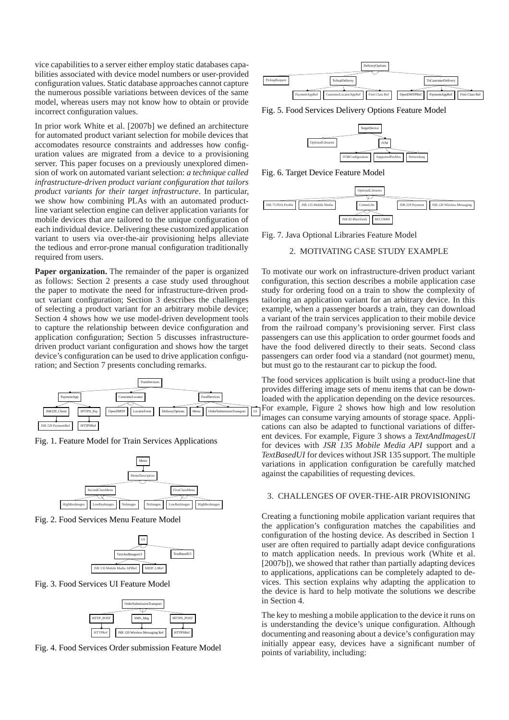vice capabilities to a server either employ static databases capabilities associated with device model numbers or user-provided configuration values. Static database approaches cannot capture the numerous possible variations between devices of the same model, whereas users may not know how to obtain or provide incorrect configuration values.

In prior work White et al. [2007b] we defined an architecture for automated product variant selection for mobile devices that accomodates resource constraints and addresses how configuration values are migrated from a device to a provisioning server. This paper focuses on a previously unexplored dimension of work on automated variant selection: *a technique called infrastructure-driven product variant configuration that tailors product variants for their target infrastructure*. In particular, we show how combining PLAs with an automated productline variant selection engine can deliver application variants for mobile devices that are tailored to the unique configuration of each individual device. Delivering these customized application variant to users via over-the-air provisioning helps alleviate the tedious and error-prone manual configuration traditionally required from users.

**Paper organization.** The remainder of the paper is organized as follows: Section 2 presents a case study used throughout the paper to motivate the need for infrastructure-driven product variant configuration; Section 3 describes the challenges of selecting a product variant for an arbitrary mobile device; Section 4 shows how we use model-driven development tools to capture the relationship between device configuration and application configuration; Section 5 discusses infrastructuredriven product variant configuration and shows how the target device's configuration can be used to drive application configuration; and Section 7 presents concluding remarks.



Fig. 1. Feature Model for Train Services Applications



Fig. 2. Food Services Menu Feature Model



Fig. 3. Food Services UI Feature Model



Fig. 4. Food Services Order submission Feature Model



Fig. 5. Food Services Delivery Options Feature Model



Fig. 6. Target Device Feature Model



Fig. 7. Java Optional Libraries Feature Model

## 2. MOTIVATING CASE STUDY EXAMPLE

To motivate our work on infrastructure-driven product variant configuration, this section describes a mobile application case study for ordering food on a train to show the complexity of tailoring an application variant for an arbitrary device. In this example, when a passenger boards a train, they can download a variant of the train services application to their mobile device from the railroad company's provisioning server. First class passengers can use this application to order gourmet foods and have the food delivered directly to their seats. Second class passengers can order food via a standard (not gourmet) menu, but must go to the restaurant car to pickup the food.

The food services application is built using a product-line that provides differing image sets of menu items that can be downloaded with the application depending on the device resources. For example, Figure 2 shows how high and low resolution images can consume varying amounts of storage space. Applications can also be adapted to functional variations of different devices. For example, Figure 3 shows a *TextAndImagesUI* for devices with *JSR 135 Mobile Media API* support and a *TextBasedUI* for devices without JSR 135 support. The multiple variations in application configuration be carefully matched against the capabilities of requesting devices.

#### 3. CHALLENGES OF OVER-THE-AIR PROVISIONING

Creating a functioning mobile application variant requires that the application's configuration matches the capabilities and configuration of the hosting device. As described in Section 1 user are often required to partially adapt device configurations to match application needs. In previous work (White et al. [2007b]), we showed that rather than partially adapting devices to applications, applications can be completely adapted to devices. This section explains why adapting the application to the device is hard to help motivate the solutions we describe in Section 4.

The key to meshing a mobile application to the device it runs on is understanding the device's unique configuration. Although documenting and reasoning about a device's configuration may initially appear easy, devices have a significant number of points of variability, including: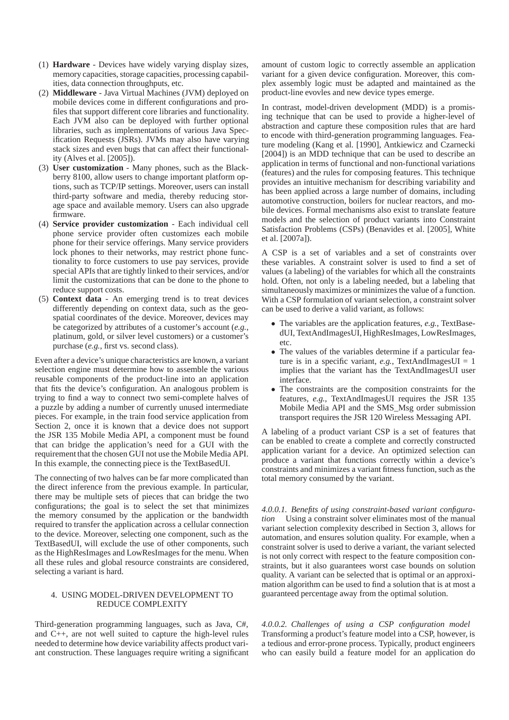- (1) **Hardware** Devices have widely varying display sizes, memory capacities, storage capacities, processing capabilities, data connection throughputs, etc.
- (2) **Middleware** Java Virtual Machines (JVM) deployed on mobile devices come in different configurations and profiles that support different core libraries and functionality. Each JVM also can be deployed with further optional libraries, such as implementations of various Java Specification Requests (JSRs). JVMs may also have varying stack sizes and even bugs that can affect their functionality (Alves et al. [2005]).
- (3) **User customization** Many phones, such as the Blackberry 8100, allow users to change important platform options, such as TCP/IP settings. Moreover, users can install third-party software and media, thereby reducing storage space and available memory. Users can also upgrade firmware.
- (4) **Service provider customization** Each individual cell phone service provider often customizes each mobile phone for their service offerings. Many service providers lock phones to their networks, may restrict phone functionality to force customers to use pay services, provide special APIs that are tightly linked to their services, and/or limit the customizations that can be done to the phone to reduce support costs.
- (5) **Context data** An emerging trend is to treat devices differently depending on context data, such as the geospatial coordinates of the device. Moreover, devices may be categorized by attributes of a customer's account (*e.g.*, platinum, gold, or silver level customers) or a customer's purchase (*e.g.*, first vs. second class).

Even after a device's unique characteristics are known, a variant selection engine must determine how to assemble the various reusable components of the product-line into an application that fits the device's configuration. An analogous problem is trying to find a way to connect two semi-complete halves of a puzzle by adding a number of currently unused intermediate pieces. For example, in the train food service application from Section 2, once it is known that a device does not support the JSR 135 Mobile Media API, a component must be found that can bridge the application's need for a GUI with the requirement that the chosen GUI not use the Mobile Media API. In this example, the connecting piece is the TextBasedUI.

The connecting of two halves can be far more complicated than the direct inference from the previous example. In particular, there may be multiple sets of pieces that can bridge the two configurations; the goal is to select the set that minimizes the memory consumed by the application or the bandwidth required to transfer the application across a cellular connection to the device. Moreover, selecting one component, such as the TextBasedUI, will exclude the use of other components, such as the HighResImages and LowResImages for the menu. When all these rules and global resource constraints are considered, selecting a variant is hard.

# 4. USING MODEL-DRIVEN DEVELOPMENT TO REDUCE COMPLEXITY

Third-generation programming languages, such as Java, C#, and C++, are not well suited to capture the high-level rules needed to determine how device variability affects product variant construction. These languages require writing a significant amount of custom logic to correctly assemble an application variant for a given device configuration. Moreover, this complex assembly logic must be adapted and maintained as the product-line evovles and new device types emerge.

In contrast, model-driven development (MDD) is a promising technique that can be used to provide a higher-level of abstraction and capture these composition rules that are hard to encode with third-generation programming languages. Feature modeling (Kang et al. [1990], Antkiewicz and Czarnecki [2004]) is an MDD technique that can be used to describe an application in terms of functional and non-functional variations (features) and the rules for composing features. This technique provides an intuitive mechanism for describing variability and has been applied across a large number of domains, including automotive construction, boilers for nuclear reactors, and mobile devices. Formal mechanisms also exist to translate feature models and the selection of product variants into Constraint Satisfaction Problems (CSPs) (Benavides et al. [2005], White et al. [2007a]).

A CSP is a set of variables and a set of constraints over these variables. A constraint solver is used to find a set of values (a labeling) of the variables for which all the constraints hold. Often, not only is a labeling needed, but a labeling that simultaneously maximizes or minimizes the value of a function. With a CSP formulation of variant selection, a constraint solver can be used to derive a valid variant, as follows:

- The variables are the application features, *e.g.*, TextBasedUI, TextAndImagesUI, HighResImages, LowResImages, etc.
- The values of the variables determine if a particular feature is in a specific variant,  $e.g.,$  TextAndImagesUI = 1 implies that the variant has the TextAndImagesUI user interface.
- The constraints are the composition constraints for the features, *e.g.*, TextAndImagesUI requires the JSR 135 Mobile Media API and the SMS\_Msg order submission transport requires the JSR 120 Wireless Messaging API.

A labeling of a product variant CSP is a set of features that can be enabled to create a complete and correctly constructed application variant for a device. An optimized selection can produce a variant that functions correctly within a device's constraints and minimizes a variant fitness function, such as the total memory consumed by the variant.

*4.0.0.1. Benefits of using constraint-based variant configuration* Using a constraint solver eliminates most of the manual variant selection complexity described in Section 3, allows for automation, and ensures solution quality. For example, when a constraint solver is used to derive a variant, the variant selected is not only correct with respect to the feature composition constraints, but it also guarantees worst case bounds on solution quality. A variant can be selected that is optimal or an approximation algorithm can be used to find a solution that is at most a guaranteed percentage away from the optimal solution.

*4.0.0.2. Challenges of using a CSP configuration model* Transforming a product's feature model into a CSP, however, is a tedious and error-prone process. Typically, product engineers who can easily build a feature model for an application do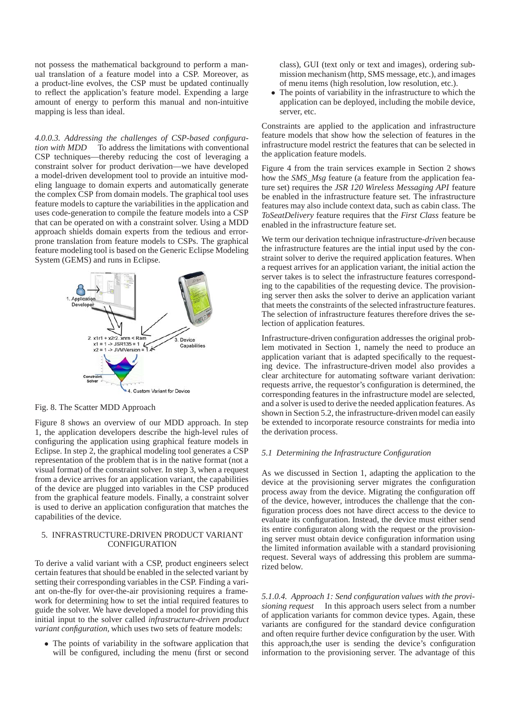not possess the mathematical background to perform a manual translation of a feature model into a CSP. Moreover, as a product-line evolves, the CSP must be updated continually to reflect the application's feature model. Expending a large amount of energy to perform this manual and non-intuitive mapping is less than ideal.

*4.0.0.3. Addressing the challenges of CSP-based configuration with MDD* To address the limitations with conventional CSP techniques—thereby reducing the cost of leveraging a constraint solver for product derivation—we have developed a model-driven development tool to provide an intuitive modeling language to domain experts and automatically generate the complex CSP from domain models. The graphical tool uses feature models to capture the variabilities in the application and uses code-generation to compile the feature models into a CSP that can be operated on with a constraint solver. Using a MDD approach shields domain experts from the tedious and errorprone translation from feature models to CSPs. The graphical feature modeling tool is based on the Generic Eclipse Modeling System (GEMS) and runs in Eclipse.



# Fig. 8. The Scatter MDD Approach

Figure 8 shows an overview of our MDD approach. In step 1, the application developers describe the high-level rules of configuring the application using graphical feature models in Eclipse. In step 2, the graphical modeling tool generates a CSP representation of the problem that is in the native format (not a visual format) of the constraint solver. In step 3, when a request from a device arrives for an application variant, the capabilities of the device are plugged into variables in the CSP produced from the graphical feature models. Finally, a constraint solver is used to derive an application configuration that matches the capabilities of the device.

#### 5. INFRASTRUCTURE-DRIVEN PRODUCT VARIANT **CONFIGURATION**

To derive a valid variant with a CSP, product engineers select certain features that should be enabled in the selected variant by setting their corresponding variables in the CSP. Finding a variant on-the-fly for over-the-air provisioning requires a framework for determining how to set the intial required features to guide the solver. We have developed a model for providing this initial input to the solver called *infrastructure-driven product variant configuration*, which uses two sets of feature models:

• The points of variability in the software application that will be configured, including the menu (first or second class), GUI (text only or text and images), ordering submission mechanism (http, SMS message, etc.), and images of menu items (high resolution, low resolution, etc.).

• The points of variability in the infrastructure to which the application can be deployed, including the mobile device, server, etc.

Constraints are applied to the application and infrastructure feature models that show how the selection of features in the infrastructure model restrict the features that can be selected in the application feature models.

Figure 4 from the train services example in Section 2 shows how the *SMS Msg* feature (a feature from the application feature set) requires the *JSR 120 Wireless Messaging API* feature be enabled in the infrastructure feature set. The infrastructure features may also include context data, such as cabin class. The *ToSeatDelivery* feature requires that the *First Class* feature be enabled in the infrastructure feature set.

We term our derivation technique infrastructure-*driven* because the infrastructure features are the intial input used by the constraint solver to derive the required application features. When a request arrives for an application variant, the initial action the server takes is to select the infrastructure features corresponding to the capabilities of the requesting device. The provisioning server then asks the solver to derive an application variant that meets the constraints of the selected infrastructure features. The selection of infrastructure features therefore drives the selection of application features.

Infrastructure-driven configuration addresses the original problem motivated in Section 1, namely the need to produce an application variant that is adapted specifically to the requesting device. The infrastructure-driven model also provides a clear architecture for automating software variant derivation: requests arrive, the requestor's configuration is determined, the corresponding features in the infrastructure model are selected, and a solver is used to derive the needed application features. As shown in Section 5.2, the infrastructure-driven model can easily be extended to incorporate resource constraints for media into the derivation process.

# *5.1 Determining the Infrastructure Configuration*

As we discussed in Section 1, adapting the application to the device at the provisioning server migrates the configuration process away from the device. Migrating the configuration off of the device, however, introduces the challenge that the configuration process does not have direct access to the device to evaluate its configuration. Instead, the device must either send its entire configuraton along with the request or the provisioning server must obtain device configuration information using the limited information available with a standard provisioning request. Several ways of addressing this problem are summarized below.

*5.1.0.4. Approach 1: Send configuration values with the provisioning request* In this approach users select from a number of application variants for common device types. Again, these variants are configured for the standard device configuration and often require further device configuration by the user. With this approach,the user is sending the device's configuration information to the provisioning server. The advantage of this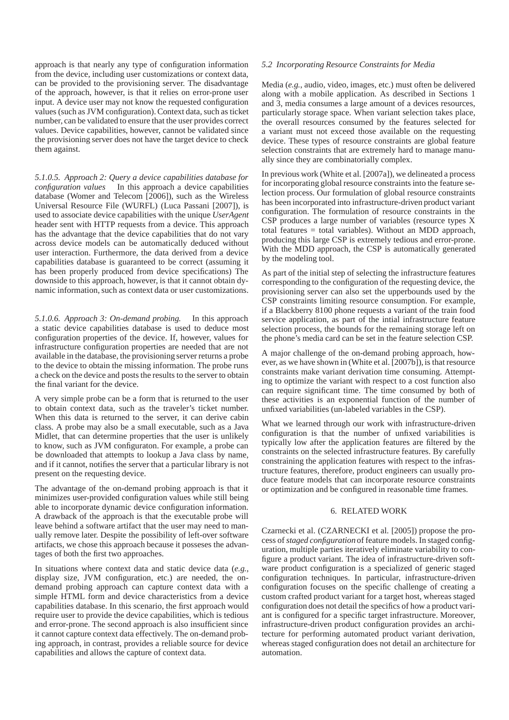approach is that nearly any type of configuration information from the device, including user customizations or context data, can be provided to the provisioning server. The disadvantage of the approach, however, is that it relies on error-prone user input. A device user may not know the requested configuration values (such as JVM configuration). Context data, such as ticket number, can be validated to ensure that the user provides correct values. Device capabilities, however, cannot be validated since the provisioning server does not have the target device to check them against.

*5.1.0.5. Approach 2: Query a device capabilities database for configuration values* In this approach a device capabilities database (Womer and Telecom [2006]), such as the Wireless Universal Resource File (WURFL) (Luca Passani [2007]), is used to associate device capabilities with the unique *UserAgent* header sent with HTTP requests from a device. This approach has the advantage that the device capabilities that do not vary across device models can be automatically deduced without user interaction. Furthermore, the data derived from a device capabilities database is guaranteed to be correct (assuming it has been properly produced from device specifications) The downside to this approach, however, is that it cannot obtain dynamic information, such as context data or user customizations.

*5.1.0.6. Approach 3: On-demand probing.* In this approach a static device capabilities database is used to deduce most configuration properties of the device. If, however, values for infrastructure configuration properties are needed that are not available in the database, the provisioning server returns a probe to the device to obtain the missing information. The probe runs a check on the device and posts the results to the server to obtain the final variant for the device.

A very simple probe can be a form that is returned to the user to obtain context data, such as the traveler's ticket number. When this data is returned to the server, it can derive cabin class. A probe may also be a small executable, such as a Java Midlet, that can determine properties that the user is unlikely to know, such as JVM configuraton. For example, a probe can be downloaded that attempts to lookup a Java class by name, and if it cannot, notifies the server that a particular library is not present on the requesting device.

The advantage of the on-demand probing approach is that it minimizes user-provided configuration values while still being able to incorporate dynamic device configuration information. A drawback of the approach is that the executable probe will leave behind a software artifact that the user may need to manually remove later. Despite the possibility of left-over software artifacts, we chose this approach because it posseses the advantages of both the first two approaches.

In situations where context data and static device data (*e.g.*, display size, JVM configuration, etc.) are needed, the ondemand probing approach can capture context data with a simple HTML form and device characteristics from a device capabilities database. In this scenario, the first approach would require user to provide the device capabilities, which is tedious and error-prone. The second approach is also insufficient since it cannot capture context data effectively. The on-demand probing approach, in contrast, provides a reliable source for device capabilities and allows the capture of context data.

# *5.2 Incorporating Resource Constraints for Media*

Media (*e.g.*, audio, video, images, etc.) must often be delivered along with a mobile application. As described in Sections 1 and 3, media consumes a large amount of a devices resources, particularly storage space. When variant selection takes place, the overall resources consumed by the features selected for a variant must not exceed those available on the requesting device. These types of resource constraints are global feature selection constraints that are extremely hard to manage manually since they are combinatorially complex.

In previous work (White et al. [2007a]), we delineated a process for incorporating global resource constraints into the feature selection process. Our formulation of global resource constraints has been incorporated into infrastructure-driven product variant configuration. The formulation of resource constraints in the CSP produces a large number of variables (resource types X total features = total variables). Without an MDD approach, producing this large CSP is extremely tedious and error-prone. With the MDD approach, the CSP is automatically generated by the modeling tool.

As part of the initial step of selecting the infrastructure features corresponding to the configuration of the requesting device, the provisioning server can also set the upperbounds used by the CSP constraints limiting resource consumption. For example, if a Blackberry 8100 phone requests a variant of the train food service application, as part of the intial infrastructure feature selection process, the bounds for the remaining storage left on the phone's media card can be set in the feature selection CSP.

A major challenge of the on-demand probing approach, however, as we have shown in (White et al. [2007b]), is that resource constraints make variant derivation time consuming. Attempting to optimize the variant with respect to a cost function also can require significant time. The time consumed by both of these activities is an exponential function of the number of unfixed variabilities (un-labeled variables in the CSP).

What we learned through our work with infrastructure-driven configuration is that the number of unfixed variabilities is typically low after the application features are filtered by the constraints on the selected infrastructure features. By carefully constraining the application features with respect to the infrastructure features, therefore, product engineers can usually produce feature models that can incorporate resource constraints or optimization and be configured in reasonable time frames.

# 6. RELATED WORK

Czarnecki et al. (CZARNECKI et al. [2005]) propose the process of*staged configuration* of feature models. In staged configuration, multiple parties iteratively eliminate variability to configure a product variant. The idea of infrastructure-driven software product configuration is a specialized of generic staged configuration techniques. In particular, infrastructure-driven configuration focuses on the specific challenge of creating a custom crafted product variant for a target host, whereas staged configuration does not detail the specifics of how a product variant is configured for a specific target infrastructure. Moreover, infrastructure-driven product configuration provides an architecture for performing automated product variant derivation, whereas staged configuration does not detail an architecture for automation.